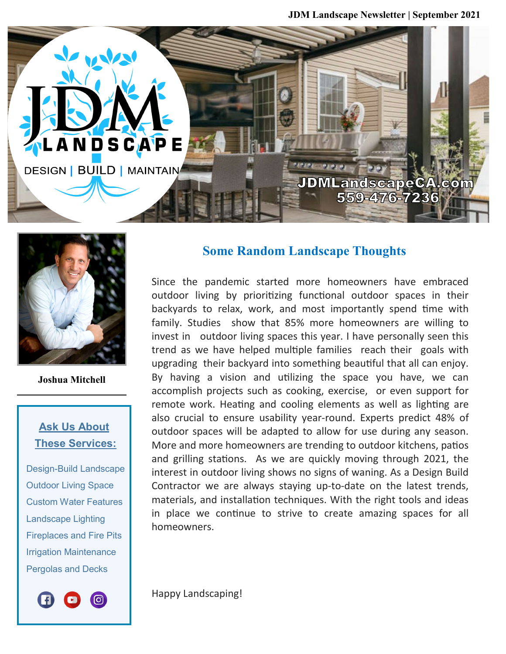**JDM Landscape Newsletter | September 2021**





**Joshua Mitchell**

## **Ask Us About These Services:**

 Design-Build Landscape Outdoor Living Space Custom Water Features Landscape Lighting Fireplaces and Fire Pits Irrigation Maintenance Pergolas and Decks



## **Some Random Landscape Thoughts**

Since the pandemic started more homeowners have embraced outdoor living by prioritizing functional outdoor spaces in their backyards to relax, work, and most importantly spend time with family. Studies show that 85% more homeowners are willing to invest in outdoor living spaces this year. I have personally seen this trend as we have helped multiple families reach their goals with upgrading their backyard into something beautiful that all can enjoy. By having a vision and utilizing the space you have, we can accomplish projects such as cooking, exercise, or even support for remote work. Heating and cooling elements as well as lighting are also crucial to ensure usability year-round. Experts predict 48% of outdoor spaces will be adapted to allow for use during any season. More and more homeowners are trending to outdoor kitchens, patios and grilling stations. As we are quickly moving through 2021, the interest in outdoor living shows no signs of waning. As a Design Build Contractor we are always staying up-to-date on the latest trends, materials, and installation techniques. With the right tools and ideas in place we continue to strive to create amazing spaces for all homeowners.

Happy Landscaping!